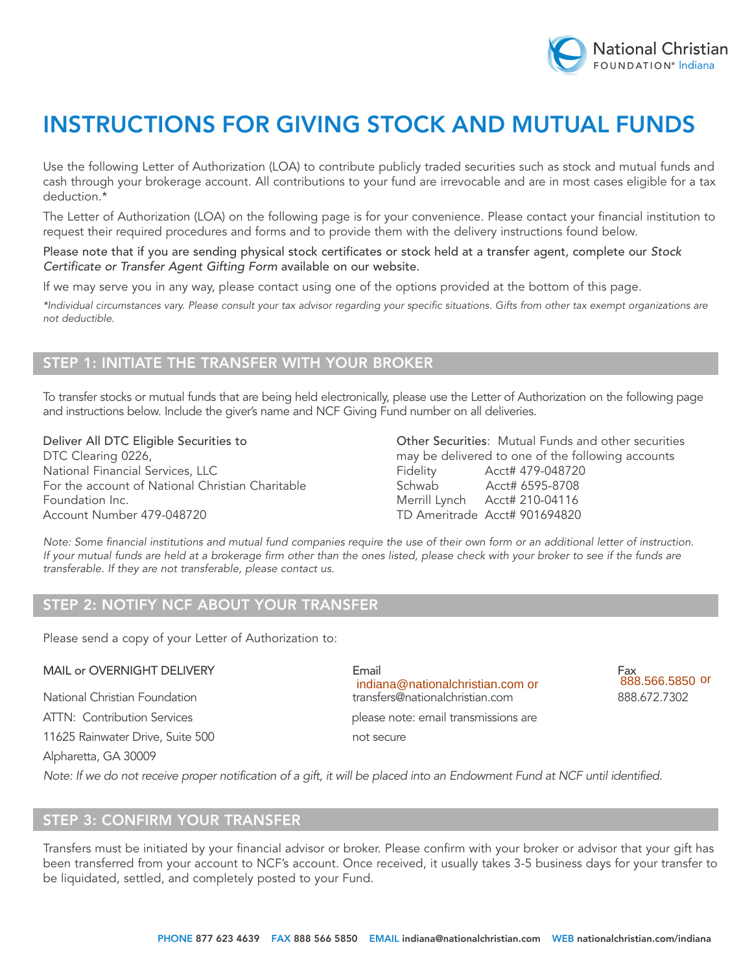

# INSTRUCTIONS FOR GIVING STOCK AND MUTUAL FUNDS

Use the following Letter of Authorization (LOA) to contribute publicly traded securities such as stock and mutual funds and cash through your brokerage account. All contributions to your fund are irrevocable and are in most cases eligible for a tax deduction.\*

The Letter of Authorization (LOA) on the following page is for your convenience. Please contact your financial institution to request their required procedures and forms and to provide them with the delivery instructions found below.

#### Please note that if you are sending physical stock certificates or stock held at a transfer agent, complete our *Stock Certificate or Transfer Agent Gifting Form* available on our website.

If we may serve you in any way, please contact using one of the options provided at the bottom of this page.

*\*Individual circumstances vary. Please consult your tax advisor regarding your specific situations. Gifts from other tax exempt organizations are not deductible.*

## Step 1: INITIATE the transfer With your broker

To transfer stocks or mutual funds that are being held electronically, please use the Letter of Authorization on the following page and instructions below. Include the giver's name and NCF Giving Fund number on all deliveries.

National Financial Services, LLC **Financial Services, LLC** Fidelity Acct# 479-048720 For the account of National Christian Charitable Schwab Acct# 6595-8708 Foundation Inc. **Foundation Inc.** Merrill Lynch Acct# 210-04116 Account Number 479-048720 **TD Ameritrade Acct# 901694820** 

Deliver All DTC Eligible Securities to **Other Securities: Mutual Funds and other securities** DTC Clearing 0226, **may be delivered to one of the following accounts** 

*Note: Some financial institutions and mutual fund companies require the use of their own form or an additional letter of instruction. If your mutual funds are held at a brokerage firm other than the ones listed, please check with your broker to see if the funds are transferable. If they are not transferable, please contact us.*

#### í STEP 2: NOTIFY NCF ABOUT YOUR TRANSFE

Please send a copy of your Letter of Authorization to:

11625 Rainwater Drive, Suite 500 not secure

MAIL or OVERNIGHT DELIVERY Email Fax National Christian Foundation transfers@nationalchristian.com 888.672.7302 ATTN: Contribution Services enterstanding please note: email transmissions are indiana@nationalchristian.com or

Alpharetta, GA 30009

*Note: If we do not receive proper notification of a gift, it will be placed into an Endowment Fund at NCF until identified.*

### Step 3: confirm your transfer

Transfers must be initiated by your financial advisor or broker. Please confirm with your broker or advisor that your gift has been transferred from your account to NCF's account. Once received, it usually takes 3-5 business days for your transfer to be liquidated, settled, and completely posted to your Fund.